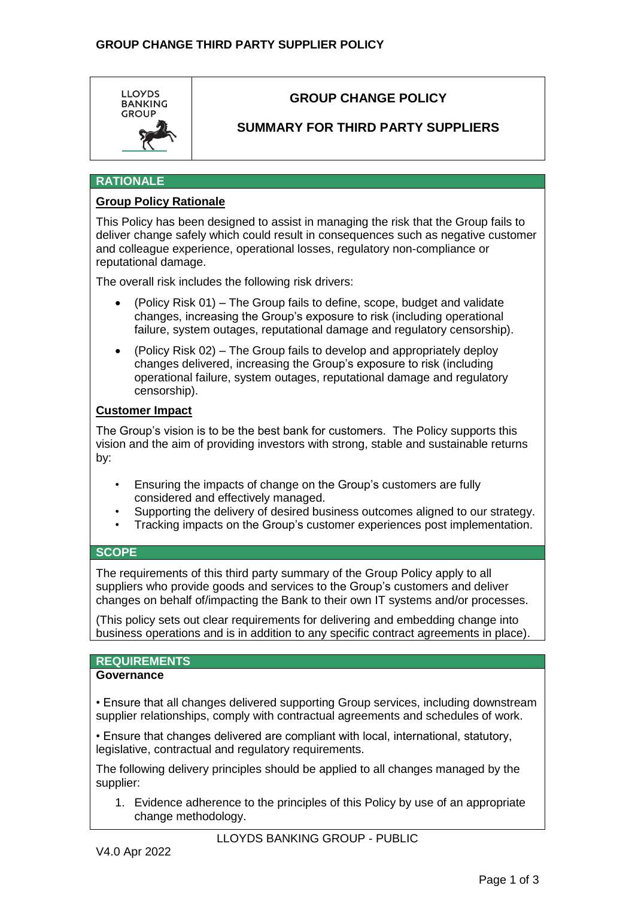

# **GROUP CHANGE POLICY**

## **SUMMARY FOR THIRD PARTY SUPPLIERS**

## **RATIONALE**

### **Group Policy Rationale**

This Policy has been designed to assist in managing the risk that the Group fails to deliver change safely which could result in consequences such as negative customer and colleague experience, operational losses, regulatory non-compliance or reputational damage.

The overall risk includes the following risk drivers:

- (Policy Risk 01) The Group fails to define, scope, budget and validate changes, increasing the Group's exposure to risk (including operational failure, system outages, reputational damage and regulatory censorship).
- (Policy Risk 02) The Group fails to develop and appropriately deploy changes delivered, increasing the Group's exposure to risk (including operational failure, system outages, reputational damage and regulatory censorship).

#### **Customer Impact**

The Group's vision is to be the best bank for customers. The Policy supports this vision and the aim of providing investors with strong, stable and sustainable returns by:

- Ensuring the impacts of change on the Group's customers are fully considered and effectively managed.
- Supporting the delivery of desired business outcomes aligned to our strategy.
- Tracking impacts on the Group's customer experiences post implementation.

### **SCOPE**

The requirements of this third party summary of the Group Policy apply to all suppliers who provide goods and services to the Group's customers and deliver changes on behalf of/impacting the Bank to their own IT systems and/or processes.

(This policy sets out clear requirements for delivering and embedding change into business operations and is in addition to any specific contract agreements in place).

#### **REQUIREMENTS**

#### **Governance**

• Ensure that all changes delivered supporting Group services, including downstream supplier relationships, comply with contractual agreements and schedules of work.

• Ensure that changes delivered are compliant with local, international, statutory, legislative, contractual and regulatory requirements.

The following delivery principles should be applied to all changes managed by the supplier:

1. Evidence adherence to the principles of this Policy by use of an appropriate change methodology.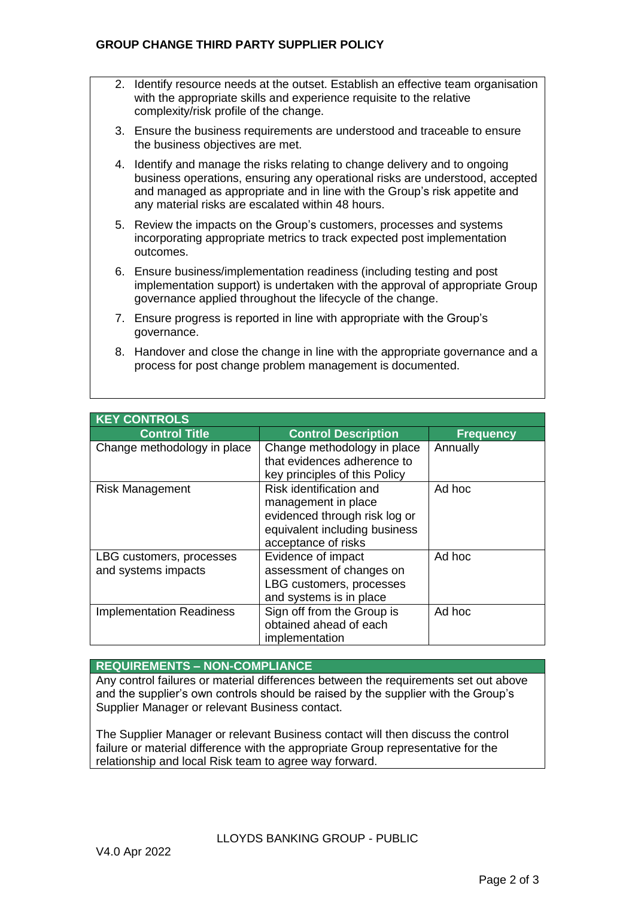- 2. Identify resource needs at the outset. Establish an effective team organisation with the appropriate skills and experience requisite to the relative complexity/risk profile of the change.
- 3. Ensure the business requirements are understood and traceable to ensure the business objectives are met.
- 4. Identify and manage the risks relating to change delivery and to ongoing business operations, ensuring any operational risks are understood, accepted and managed as appropriate and in line with the Group's risk appetite and any material risks are escalated within 48 hours.
- 5. Review the impacts on the Group's customers, processes and systems incorporating appropriate metrics to track expected post implementation outcomes.
- 6. Ensure business/implementation readiness (including testing and post implementation support) is undertaken with the approval of appropriate Group governance applied throughout the lifecycle of the change.
- 7. Ensure progress is reported in line with appropriate with the Group's governance.
- 8. Handover and close the change in line with the appropriate governance and a process for post change problem management is documented.

| <b>KEY CONTROLS</b>             |                               |                  |  |
|---------------------------------|-------------------------------|------------------|--|
| <b>Control Title</b>            | <b>Control Description</b>    | <b>Frequency</b> |  |
| Change methodology in place     | Change methodology in place   | Annually         |  |
|                                 | that evidences adherence to   |                  |  |
|                                 | key principles of this Policy |                  |  |
| <b>Risk Management</b>          | Risk identification and       | Ad hoc           |  |
|                                 | management in place           |                  |  |
|                                 | evidenced through risk log or |                  |  |
|                                 | equivalent including business |                  |  |
|                                 | acceptance of risks           |                  |  |
| LBG customers, processes        | Evidence of impact            | Ad hoc           |  |
| and systems impacts             | assessment of changes on      |                  |  |
|                                 | LBG customers, processes      |                  |  |
|                                 | and systems is in place       |                  |  |
| <b>Implementation Readiness</b> | Sign off from the Group is    | Ad hoc           |  |
|                                 | obtained ahead of each        |                  |  |
|                                 | implementation                |                  |  |

### **REQUIREMENTS – NON-COMPLIANCE**

Any control failures or material differences between the requirements set out above and the supplier's own controls should be raised by the supplier with the Group's Supplier Manager or relevant Business contact.

The Supplier Manager or relevant Business contact will then discuss the control failure or material difference with the appropriate Group representative for the relationship and local Risk team to agree way forward.